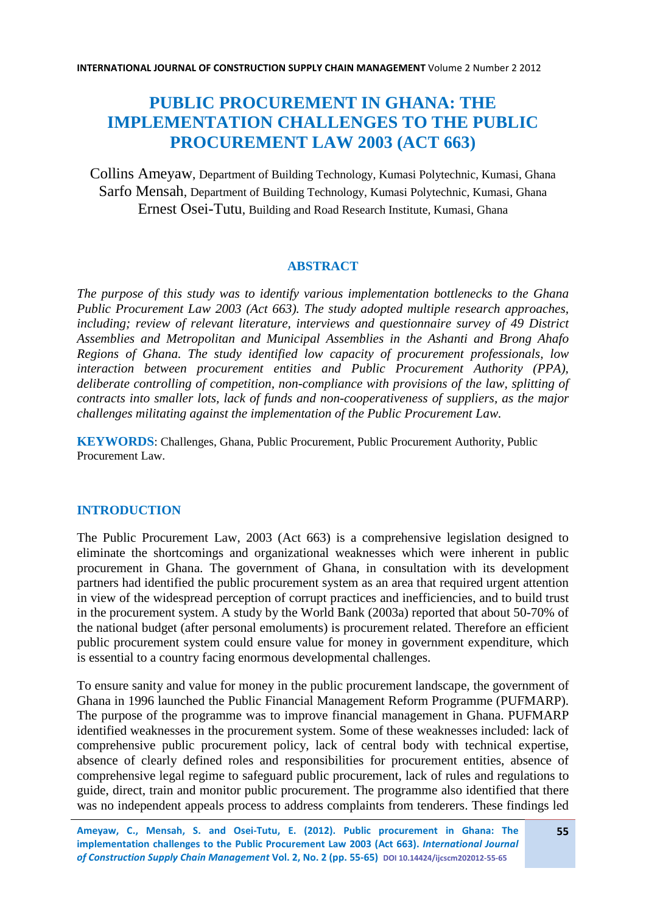# **PUBLIC PROCUREMENT IN GHANA: THE IMPLEMENTATION CHALLENGES TO THE PUBLIC PROCUREMENT LAW 2003 (ACT 663)**

Collins Ameyaw, Department of Building Technology, Kumasi Polytechnic, Kumasi, Ghana Sarfo Mensah, Department of Building Technology, Kumasi Polytechnic, Kumasi, Ghana Ernest Osei-Tutu, Building and Road Research Institute, Kumasi, Ghana

### **ABSTRACT**

*The purpose of this study was to identify various implementation bottlenecks to the Ghana Public Procurement Law 2003 (Act 663). The study adopted multiple research approaches, including; review of relevant literature, interviews and questionnaire survey of 49 District Assemblies and Metropolitan and Municipal Assemblies in the Ashanti and Brong Ahafo Regions of Ghana. The study identified low capacity of procurement professionals, low interaction between procurement entities and Public Procurement Authority (PPA), deliberate controlling of competition, non-compliance with provisions of the law, splitting of contracts into smaller lots, lack of funds and non-cooperativeness of suppliers, as the major challenges militating against the implementation of the Public Procurement Law.* 

**KEYWORDS**: Challenges, Ghana, Public Procurement, Public Procurement Authority, Public Procurement Law.

# **INTRODUCTION**

The Public Procurement Law, 2003 (Act 663) is a comprehensive legislation designed to eliminate the shortcomings and organizational weaknesses which were inherent in public procurement in Ghana. The government of Ghana, in consultation with its development partners had identified the public procurement system as an area that required urgent attention in view of the widespread perception of corrupt practices and inefficiencies, and to build trust in the procurement system. A study by the World Bank (2003a) reported that about 50-70% of the national budget (after personal emoluments) is procurement related. Therefore an efficient public procurement system could ensure value for money in government expenditure, which is essential to a country facing enormous developmental challenges.

To ensure sanity and value for money in the public procurement landscape, the government of Ghana in 1996 launched the Public Financial Management Reform Programme (PUFMARP). The purpose of the programme was to improve financial management in Ghana. PUFMARP identified weaknesses in the procurement system. Some of these weaknesses included: lack of comprehensive public procurement policy, lack of central body with technical expertise, absence of clearly defined roles and responsibilities for procurement entities, absence of comprehensive legal regime to safeguard public procurement, lack of rules and regulations to guide, direct, train and monitor public procurement. The programme also identified that there was no independent appeals process to address complaints from tenderers. These findings led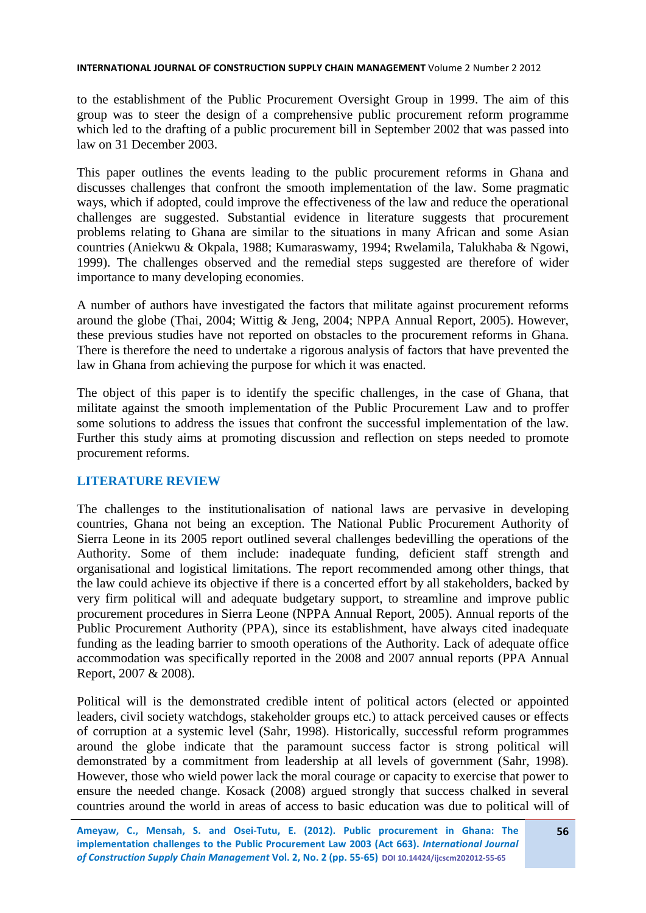to the establishment of the Public Procurement Oversight Group in 1999. The aim of this group was to steer the design of a comprehensive public procurement reform programme which led to the drafting of a public procurement bill in September 2002 that was passed into law on 31 December 2003.

This paper outlines the events leading to the public procurement reforms in Ghana and discusses challenges that confront the smooth implementation of the law. Some pragmatic ways, which if adopted, could improve the effectiveness of the law and reduce the operational challenges are suggested. Substantial evidence in literature suggests that procurement problems relating to Ghana are similar to the situations in many African and some Asian countries (Aniekwu & Okpala, 1988; Kumaraswamy, 1994; Rwelamila, Talukhaba & Ngowi, 1999). The challenges observed and the remedial steps suggested are therefore of wider importance to many developing economies.

A number of authors have investigated the factors that militate against procurement reforms around the globe (Thai, 2004; Wittig & Jeng, 2004; NPPA Annual Report, 2005). However, these previous studies have not reported on obstacles to the procurement reforms in Ghana. There is therefore the need to undertake a rigorous analysis of factors that have prevented the law in Ghana from achieving the purpose for which it was enacted.

The object of this paper is to identify the specific challenges, in the case of Ghana, that militate against the smooth implementation of the Public Procurement Law and to proffer some solutions to address the issues that confront the successful implementation of the law. Further this study aims at promoting discussion and reflection on steps needed to promote procurement reforms.

### **LITERATURE REVIEW**

The challenges to the institutionalisation of national laws are pervasive in developing countries, Ghana not being an exception. The National Public Procurement Authority of Sierra Leone in its 2005 report outlined several challenges bedevilling the operations of the Authority. Some of them include: inadequate funding, deficient staff strength and organisational and logistical limitations. The report recommended among other things, that the law could achieve its objective if there is a concerted effort by all stakeholders, backed by very firm political will and adequate budgetary support, to streamline and improve public procurement procedures in Sierra Leone (NPPA Annual Report, 2005). Annual reports of the Public Procurement Authority (PPA), since its establishment, have always cited inadequate funding as the leading barrier to smooth operations of the Authority. Lack of adequate office accommodation was specifically reported in the 2008 and 2007 annual reports (PPA Annual Report, 2007 & 2008).

Political will is the demonstrated credible intent of political actors (elected or appointed leaders, civil society watchdogs, stakeholder groups etc.) to attack perceived causes or effects of corruption at a systemic level (Sahr, 1998). Historically, successful reform programmes around the globe indicate that the paramount success factor is strong political will demonstrated by a commitment from leadership at all levels of government (Sahr, 1998). However, those who wield power lack the moral courage or capacity to exercise that power to ensure the needed change. Kosack (2008) argued strongly that success chalked in several countries around the world in areas of access to basic education was due to political will of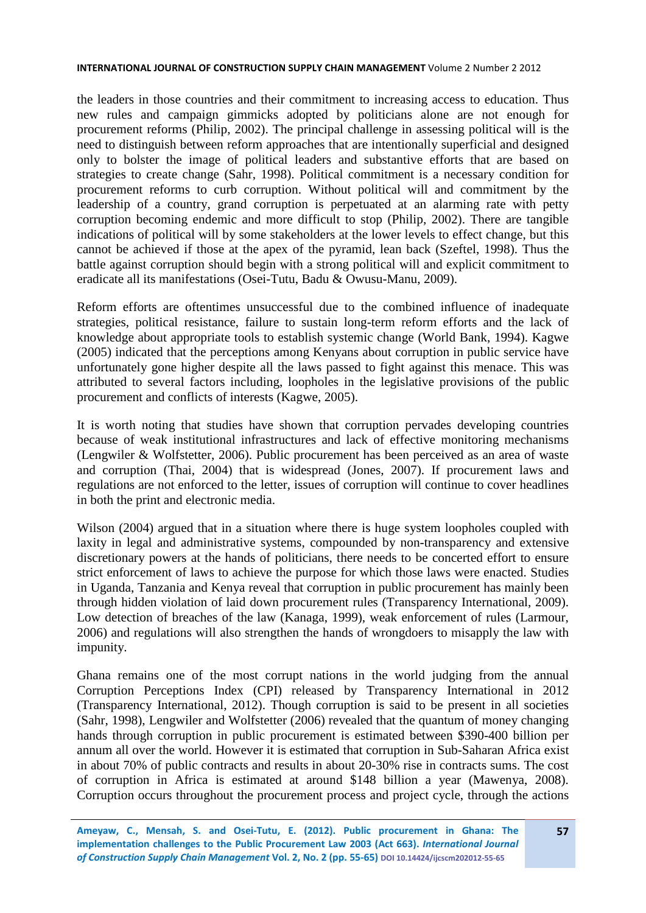the leaders in those countries and their commitment to increasing access to education. Thus new rules and campaign gimmicks adopted by politicians alone are not enough for procurement reforms (Philip, 2002). The principal challenge in assessing political will is the need to distinguish between reform approaches that are intentionally superficial and designed only to bolster the image of political leaders and substantive efforts that are based on strategies to create change (Sahr, 1998). Political commitment is a necessary condition for procurement reforms to curb corruption. Without political will and commitment by the leadership of a country, grand corruption is perpetuated at an alarming rate with petty corruption becoming endemic and more difficult to stop (Philip, 2002). There are tangible indications of political will by some stakeholders at the lower levels to effect change, but this cannot be achieved if those at the apex of the pyramid, lean back (Szeftel, 1998). Thus the battle against corruption should begin with a strong political will and explicit commitment to eradicate all its manifestations (Osei-Tutu, Badu & Owusu-Manu, 2009).

Reform efforts are oftentimes unsuccessful due to the combined influence of inadequate strategies, political resistance, failure to sustain long-term reform efforts and the lack of knowledge about appropriate tools to establish systemic change (World Bank, 1994). Kagwe (2005) indicated that the perceptions among Kenyans about corruption in public service have unfortunately gone higher despite all the laws passed to fight against this menace. This was attributed to several factors including, loopholes in the legislative provisions of the public procurement and conflicts of interests (Kagwe, 2005).

It is worth noting that studies have shown that corruption pervades developing countries because of weak institutional infrastructures and lack of effective monitoring mechanisms (Lengwiler & Wolfstetter, 2006). Public procurement has been perceived as an area of waste and corruption (Thai, 2004) that is widespread (Jones, 2007). If procurement laws and regulations are not enforced to the letter, issues of corruption will continue to cover headlines in both the print and electronic media.

Wilson (2004) argued that in a situation where there is huge system loopholes coupled with laxity in legal and administrative systems, compounded by non-transparency and extensive discretionary powers at the hands of politicians, there needs to be concerted effort to ensure strict enforcement of laws to achieve the purpose for which those laws were enacted. Studies in Uganda, Tanzania and Kenya reveal that corruption in public procurement has mainly been through hidden violation of laid down procurement rules (Transparency International, 2009). Low detection of breaches of the law (Kanaga, 1999), weak enforcement of rules (Larmour, 2006) and regulations will also strengthen the hands of wrongdoers to misapply the law with impunity.

Ghana remains one of the most corrupt nations in the world judging from the annual Corruption Perceptions Index (CPI) released by Transparency International in 2012 (Transparency International, 2012). Though corruption is said to be present in all societies (Sahr, 1998), Lengwiler and Wolfstetter (2006) revealed that the quantum of money changing hands through corruption in public procurement is estimated between \$390-400 billion per annum all over the world. However it is estimated that corruption in Sub-Saharan Africa exist in about 70% of public contracts and results in about 20-30% rise in contracts sums. The cost of corruption in Africa is estimated at around \$148 billion a year (Mawenya, 2008). Corruption occurs throughout the procurement process and project cycle, through the actions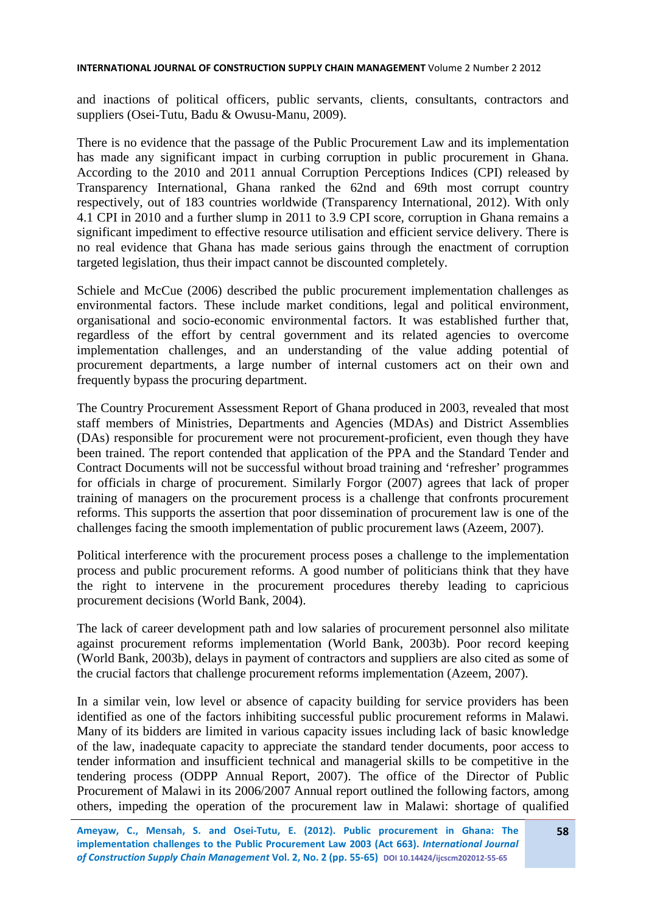and inactions of political officers, public servants, clients, consultants, contractors and suppliers (Osei-Tutu, Badu & Owusu-Manu, 2009).

There is no evidence that the passage of the Public Procurement Law and its implementation has made any significant impact in curbing corruption in public procurement in Ghana. According to the 2010 and 2011 annual Corruption Perceptions Indices (CPI) released by Transparency International, Ghana ranked the 62nd and 69th most corrupt country respectively, out of 183 countries worldwide (Transparency International, 2012). With only 4.1 CPI in 2010 and a further slump in 2011 to 3.9 CPI score, corruption in Ghana remains a significant impediment to effective resource utilisation and efficient service delivery. There is no real evidence that Ghana has made serious gains through the enactment of corruption targeted legislation, thus their impact cannot be discounted completely.

Schiele and McCue (2006) described the public procurement implementation challenges as environmental factors. These include market conditions, legal and political environment, organisational and socio-economic environmental factors. It was established further that, regardless of the effort by central government and its related agencies to overcome implementation challenges, and an understanding of the value adding potential of procurement departments, a large number of internal customers act on their own and frequently bypass the procuring department.

The Country Procurement Assessment Report of Ghana produced in 2003, revealed that most staff members of Ministries, Departments and Agencies (MDAs) and District Assemblies (DAs) responsible for procurement were not procurement-proficient, even though they have been trained. The report contended that application of the PPA and the Standard Tender and Contract Documents will not be successful without broad training and 'refresher' programmes for officials in charge of procurement. Similarly Forgor (2007) agrees that lack of proper training of managers on the procurement process is a challenge that confronts procurement reforms. This supports the assertion that poor dissemination of procurement law is one of the challenges facing the smooth implementation of public procurement laws (Azeem, 2007).

Political interference with the procurement process poses a challenge to the implementation process and public procurement reforms. A good number of politicians think that they have the right to intervene in the procurement procedures thereby leading to capricious procurement decisions (World Bank, 2004).

The lack of career development path and low salaries of procurement personnel also militate against procurement reforms implementation (World Bank, 2003b). Poor record keeping (World Bank, 2003b), delays in payment of contractors and suppliers are also cited as some of the crucial factors that challenge procurement reforms implementation (Azeem, 2007).

In a similar vein, low level or absence of capacity building for service providers has been identified as one of the factors inhibiting successful public procurement reforms in Malawi. Many of its bidders are limited in various capacity issues including lack of basic knowledge of the law, inadequate capacity to appreciate the standard tender documents, poor access to tender information and insufficient technical and managerial skills to be competitive in the tendering process (ODPP Annual Report, 2007). The office of the Director of Public Procurement of Malawi in its 2006/2007 Annual report outlined the following factors, among others, impeding the operation of the procurement law in Malawi: shortage of qualified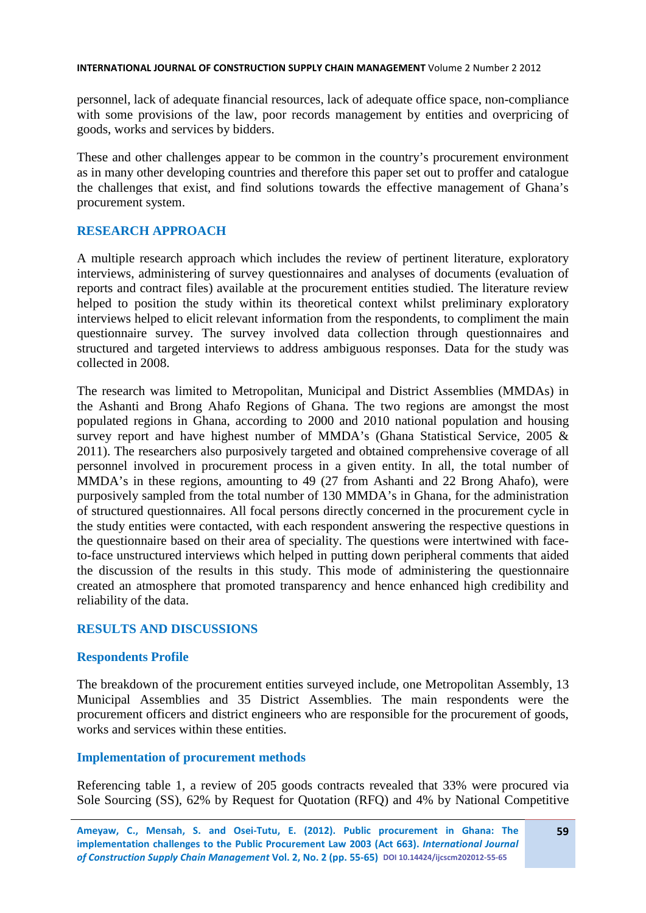personnel, lack of adequate financial resources, lack of adequate office space, non-compliance with some provisions of the law, poor records management by entities and overpricing of goods, works and services by bidders.

These and other challenges appear to be common in the country's procurement environment as in many other developing countries and therefore this paper set out to proffer and catalogue the challenges that exist, and find solutions towards the effective management of Ghana's procurement system.

# **RESEARCH APPROACH**

A multiple research approach which includes the review of pertinent literature, exploratory interviews, administering of survey questionnaires and analyses of documents (evaluation of reports and contract files) available at the procurement entities studied. The literature review helped to position the study within its theoretical context whilst preliminary exploratory interviews helped to elicit relevant information from the respondents, to compliment the main questionnaire survey. The survey involved data collection through questionnaires and structured and targeted interviews to address ambiguous responses. Data for the study was collected in 2008.

The research was limited to Metropolitan, Municipal and District Assemblies (MMDAs) in the Ashanti and Brong Ahafo Regions of Ghana. The two regions are amongst the most populated regions in Ghana, according to 2000 and 2010 national population and housing survey report and have highest number of MMDA's (Ghana Statistical Service, 2005 & 2011). The researchers also purposively targeted and obtained comprehensive coverage of all personnel involved in procurement process in a given entity. In all, the total number of MMDA's in these regions, amounting to 49 (27 from Ashanti and 22 Brong Ahafo), were purposively sampled from the total number of 130 MMDA's in Ghana, for the administration of structured questionnaires. All focal persons directly concerned in the procurement cycle in the study entities were contacted, with each respondent answering the respective questions in the questionnaire based on their area of speciality. The questions were intertwined with faceto-face unstructured interviews which helped in putting down peripheral comments that aided the discussion of the results in this study. This mode of administering the questionnaire created an atmosphere that promoted transparency and hence enhanced high credibility and reliability of the data.

# **RESULTS AND DISCUSSIONS**

# **Respondents Profile**

The breakdown of the procurement entities surveyed include, one Metropolitan Assembly, 13 Municipal Assemblies and 35 District Assemblies. The main respondents were the procurement officers and district engineers who are responsible for the procurement of goods, works and services within these entities.

# **Implementation of procurement methods**

Referencing table 1, a review of 205 goods contracts revealed that 33% were procured via Sole Sourcing (SS), 62% by Request for Quotation (RFQ) and 4% by National Competitive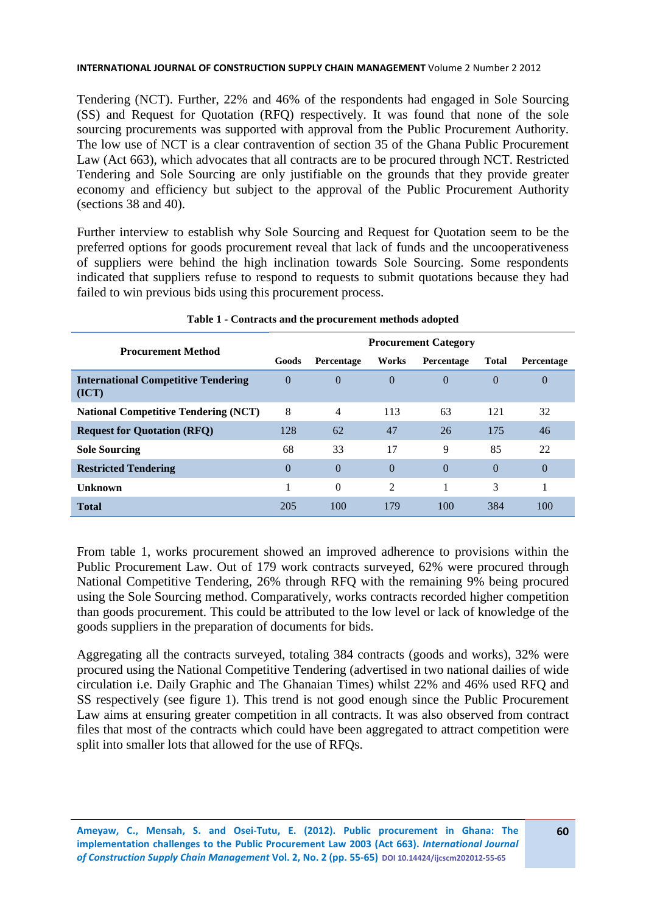Tendering (NCT). Further, 22% and 46% of the respondents had engaged in Sole Sourcing (SS) and Request for Quotation (RFQ) respectively. It was found that none of the sole sourcing procurements was supported with approval from the Public Procurement Authority. The low use of NCT is a clear contravention of section 35 of the Ghana Public Procurement Law (Act 663), which advocates that all contracts are to be procured through NCT. Restricted Tendering and Sole Sourcing are only justifiable on the grounds that they provide greater economy and efficiency but subject to the approval of the Public Procurement Authority (sections 38 and 40).

Further interview to establish why Sole Sourcing and Request for Quotation seem to be the preferred options for goods procurement reveal that lack of funds and the uncooperativeness of suppliers were behind the high inclination towards Sole Sourcing. Some respondents indicated that suppliers refuse to respond to requests to submit quotations because they had failed to win previous bids using this procurement process.

| <b>Procurement Method</b>                           | <b>Procurement Category</b> |                |                |            |              |                |
|-----------------------------------------------------|-----------------------------|----------------|----------------|------------|--------------|----------------|
|                                                     | Goods                       | Percentage     | Works          | Percentage | <b>Total</b> | Percentage     |
| <b>International Competitive Tendering</b><br>(ICT) | $\theta$                    | $\Omega$       | $\theta$       | $\Omega$   | $\Omega$     | 0              |
| <b>National Competitive Tendering (NCT)</b>         | 8                           | $\overline{4}$ | 113            | 63         | 121          | 32             |
| <b>Request for Quotation (RFQ)</b>                  | 128                         | 62             | 47             | 26         | 175          | 46             |
| <b>Sole Sourcing</b>                                | 68                          | 33             | 17             | 9          | 85           | 22             |
| <b>Restricted Tendering</b>                         | $\theta$                    | $\theta$       | $\Omega$       | $\Omega$   | $\Omega$     | $\overline{0}$ |
| Unknown                                             |                             | $\Omega$       | $\overline{2}$ | 1          | 3            |                |
| <b>Total</b>                                        | 205                         | 100            | 179            | 100        | 384          | 100            |

### **Table 1 - Contracts and the procurement methods adopted**

From table 1, works procurement showed an improved adherence to provisions within the Public Procurement Law. Out of 179 work contracts surveyed, 62% were procured through National Competitive Tendering, 26% through RFQ with the remaining 9% being procured using the Sole Sourcing method. Comparatively, works contracts recorded higher competition than goods procurement. This could be attributed to the low level or lack of knowledge of the goods suppliers in the preparation of documents for bids.

Aggregating all the contracts surveyed, totaling 384 contracts (goods and works), 32% were procured using the National Competitive Tendering (advertised in two national dailies of wide circulation i.e. Daily Graphic and The Ghanaian Times) whilst 22% and 46% used RFQ and SS respectively (see figure 1). This trend is not good enough since the Public Procurement Law aims at ensuring greater competition in all contracts. It was also observed from contract files that most of the contracts which could have been aggregated to attract competition were split into smaller lots that allowed for the use of RFQs.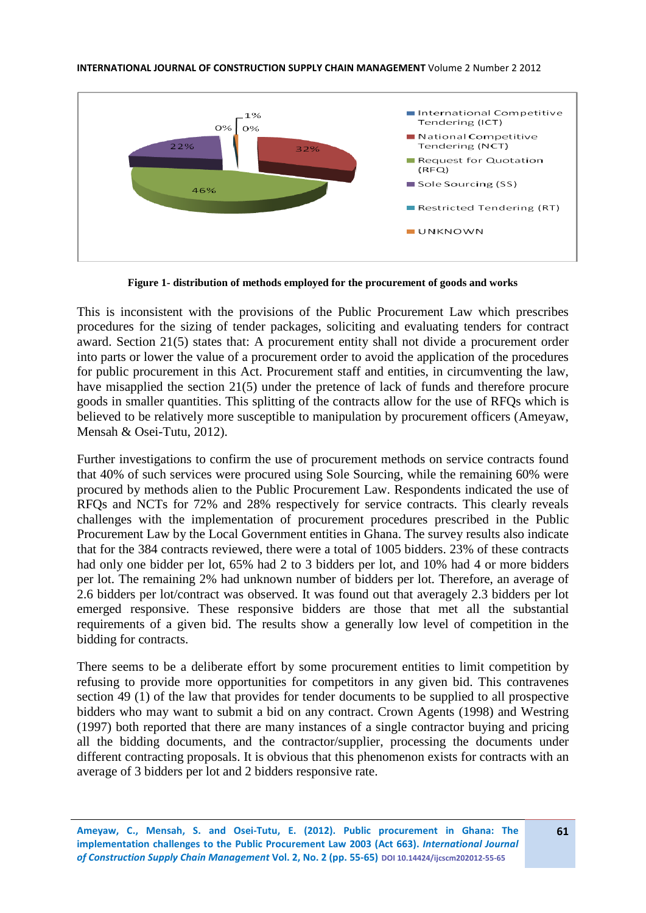

**Figure 1- distribution of methods employed for the procurement of goods and works**

This is inconsistent with the provisions of the Public Procurement Law which prescribes procedures for the sizing of tender packages, soliciting and evaluating tenders for contract award. Section 21(5) states that: A procurement entity shall not divide a procurement order into parts or lower the value of a procurement order to avoid the application of the procedures for public procurement in this Act. Procurement staff and entities, in circumventing the law, have misapplied the section 21(5) under the pretence of lack of funds and therefore procure goods in smaller quantities. This splitting of the contracts allow for the use of RFQs which is believed to be relatively more susceptible to manipulation by procurement officers (Ameyaw, Mensah & Osei-Tutu, 2012).

Further investigations to confirm the use of procurement methods on service contracts found that 40% of such services were procured using Sole Sourcing, while the remaining 60% were procured by methods alien to the Public Procurement Law. Respondents indicated the use of RFQs and NCTs for 72% and 28% respectively for service contracts. This clearly reveals challenges with the implementation of procurement procedures prescribed in the Public Procurement Law by the Local Government entities in Ghana. The survey results also indicate that for the 384 contracts reviewed, there were a total of 1005 bidders. 23% of these contracts had only one bidder per lot, 65% had 2 to 3 bidders per lot, and 10% had 4 or more bidders per lot. The remaining 2% had unknown number of bidders per lot. Therefore, an average of 2.6 bidders per lot/contract was observed. It was found out that averagely 2.3 bidders per lot emerged responsive. These responsive bidders are those that met all the substantial requirements of a given bid. The results show a generally low level of competition in the bidding for contracts.

There seems to be a deliberate effort by some procurement entities to limit competition by refusing to provide more opportunities for competitors in any given bid. This contravenes section 49 (1) of the law that provides for tender documents to be supplied to all prospective bidders who may want to submit a bid on any contract. Crown Agents (1998) and Westring (1997) both reported that there are many instances of a single contractor buying and pricing all the bidding documents, and the contractor/supplier, processing the documents under different contracting proposals. It is obvious that this phenomenon exists for contracts with an average of 3 bidders per lot and 2 bidders responsive rate.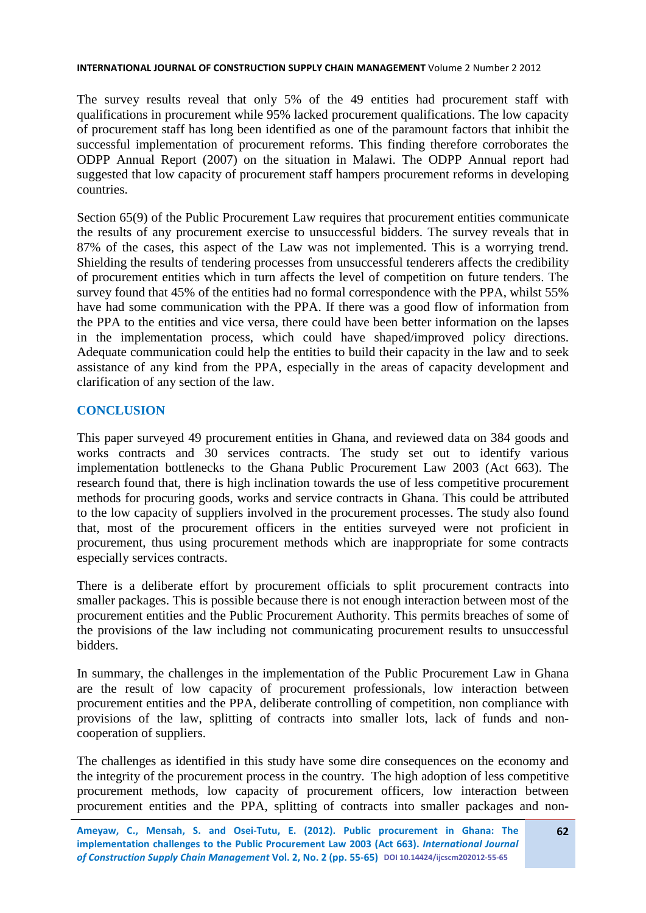The survey results reveal that only 5% of the 49 entities had procurement staff with qualifications in procurement while 95% lacked procurement qualifications. The low capacity of procurement staff has long been identified as one of the paramount factors that inhibit the successful implementation of procurement reforms. This finding therefore corroborates the ODPP Annual Report (2007) on the situation in Malawi. The ODPP Annual report had suggested that low capacity of procurement staff hampers procurement reforms in developing countries.

Section 65(9) of the Public Procurement Law requires that procurement entities communicate the results of any procurement exercise to unsuccessful bidders. The survey reveals that in 87% of the cases, this aspect of the Law was not implemented. This is a worrying trend. Shielding the results of tendering processes from unsuccessful tenderers affects the credibility of procurement entities which in turn affects the level of competition on future tenders. The survey found that 45% of the entities had no formal correspondence with the PPA, whilst 55% have had some communication with the PPA. If there was a good flow of information from the PPA to the entities and vice versa, there could have been better information on the lapses in the implementation process, which could have shaped/improved policy directions. Adequate communication could help the entities to build their capacity in the law and to seek assistance of any kind from the PPA, especially in the areas of capacity development and clarification of any section of the law.

# **CONCLUSION**

This paper surveyed 49 procurement entities in Ghana, and reviewed data on 384 goods and works contracts and 30 services contracts. The study set out to identify various implementation bottlenecks to the Ghana Public Procurement Law 2003 (Act 663). The research found that, there is high inclination towards the use of less competitive procurement methods for procuring goods, works and service contracts in Ghana. This could be attributed to the low capacity of suppliers involved in the procurement processes. The study also found that, most of the procurement officers in the entities surveyed were not proficient in procurement, thus using procurement methods which are inappropriate for some contracts especially services contracts.

There is a deliberate effort by procurement officials to split procurement contracts into smaller packages. This is possible because there is not enough interaction between most of the procurement entities and the Public Procurement Authority. This permits breaches of some of the provisions of the law including not communicating procurement results to unsuccessful bidders.

In summary, the challenges in the implementation of the Public Procurement Law in Ghana are the result of low capacity of procurement professionals, low interaction between procurement entities and the PPA, deliberate controlling of competition, non compliance with provisions of the law, splitting of contracts into smaller lots, lack of funds and noncooperation of suppliers.

The challenges as identified in this study have some dire consequences on the economy and the integrity of the procurement process in the country. The high adoption of less competitive procurement methods, low capacity of procurement officers, low interaction between procurement entities and the PPA, splitting of contracts into smaller packages and non-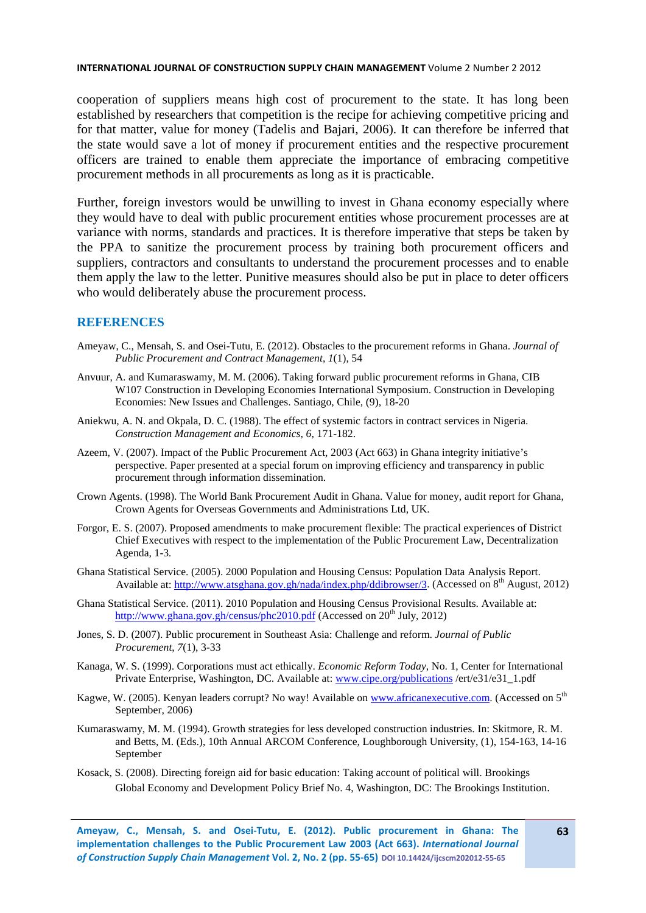cooperation of suppliers means high cost of procurement to the state. It has long been established by researchers that competition is the recipe for achieving competitive pricing and for that matter, value for money (Tadelis and Bajari, 2006). It can therefore be inferred that the state would save a lot of money if procurement entities and the respective procurement officers are trained to enable them appreciate the importance of embracing competitive procurement methods in all procurements as long as it is practicable.

Further, foreign investors would be unwilling to invest in Ghana economy especially where they would have to deal with public procurement entities whose procurement processes are at variance with norms, standards and practices. It is therefore imperative that steps be taken by the PPA to sanitize the procurement process by training both procurement officers and suppliers, contractors and consultants to understand the procurement processes and to enable them apply the law to the letter. Punitive measures should also be put in place to deter officers who would deliberately abuse the procurement process.

### **REFERENCES**

- Ameyaw, C., Mensah, S. and Osei-Tutu, E. (2012). Obstacles to the procurement reforms in Ghana. *Journal of Public Procurement and Contract Management*, *1*(1), 54
- Anvuur, A. and Kumaraswamy, M. M. (2006). Taking forward public procurement reforms in Ghana, CIB W107 Construction in Developing Economies International Symposium. Construction in Developing Economies: New Issues and Challenges. Santiago, Chile, (9), 18-20
- Aniekwu, A. N. and Okpala, D. C. (1988). The effect of systemic factors in contract services in Nigeria. *Construction Management and Economics*, *6*, 171-182.
- Azeem, V. (2007). Impact of the Public Procurement Act, 2003 (Act 663) in Ghana integrity initiative's perspective. Paper presented at a special forum on improving efficiency and transparency in public procurement through information dissemination.
- Crown Agents. (1998). The World Bank Procurement Audit in Ghana. Value for money, audit report for Ghana, Crown Agents for Overseas Governments and Administrations Ltd, UK.
- Forgor, E. S. (2007). Proposed amendments to make procurement flexible: The practical experiences of District Chief Executives with respect to the implementation of the Public Procurement Law, Decentralization Agenda, 1-3*.*
- Ghana Statistical Service. (2005). 2000 Population and Housing Census: Population Data Analysis Report. Available at: [http://www.atsghana.gov.gh/nada/index.php/ddibrowser/3.](http://www.atsghana.gov.gh/nada/index.php/ddibrowser/3) (Accessed on 8<sup>th</sup> August, 2012)
- Ghana Statistical Service. (2011). 2010 Population and Housing Census Provisional Results. Available at: <http://www.ghana.gov.gh/census/phc2010.pdf> (Accessed on  $20<sup>th</sup>$  July, 2012)
- Jones, S. D. (2007). Public procurement in Southeast Asia: Challenge and reform. *Journal of Public Procurement*, *7*(1), 3-33
- Kanaga, W. S. (1999). Corporations must act ethically. *Economic Reform Today*, No. 1, Center for International Private Enterprise, Washington, DC. Available at: [www.cipe.org/publications](http://www.cipe.org/publications) /ert/e31/e31\_1.pdf
- Kagwe, W. (2005). Kenyan leaders corrupt? No way! Available o[n www.africanexecutive.com.](http://www.africanexecutive.com/) (Accessed on 5<sup>th</sup> September, 2006)
- Kumaraswamy, M. M. (1994). Growth strategies for less developed construction industries. In: Skitmore, R. M. and Betts, M. (Eds.), 10th Annual ARCOM Conference, Loughborough University, (1), 154-163, 14-16 September
- Kosack, S. (2008). Directing foreign aid for basic education: Taking account of political will. Brookings Global Economy and Development Policy Brief No. 4, Washington, DC: The Brookings Institution.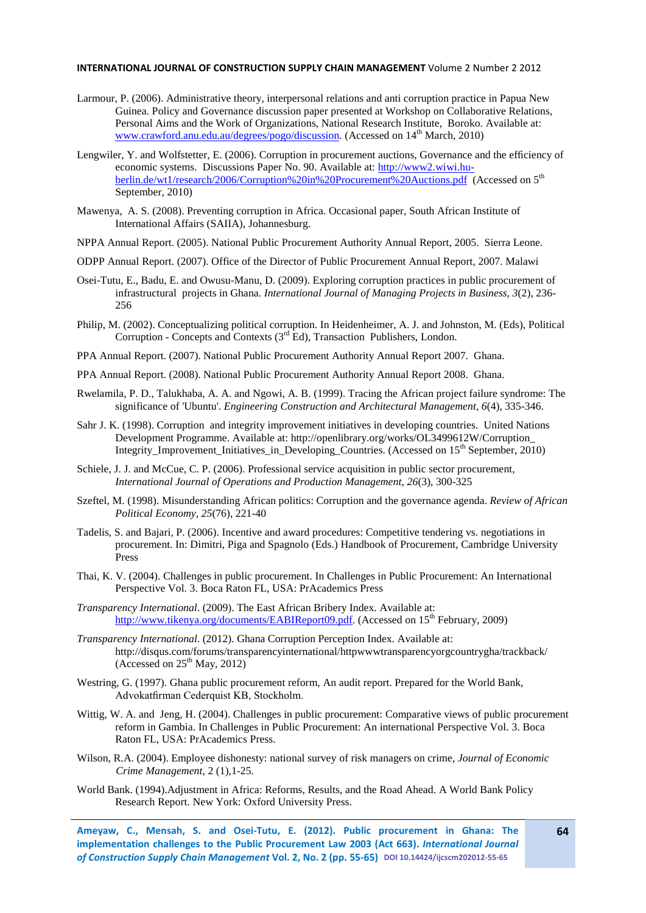- Larmour, P. (2006). Administrative theory, interpersonal relations and anti corruption practice in Papua New Guinea. Policy and Governance discussion paper presented at Workshop on Collaborative Relations, Personal Aims and the Work of Organizations, National Research Institute, Boroko. Available at: www.crawford.anu.edu.au/degrees/pogo/discussion. (Accessed on 14<sup>th</sup> March, 2010)
- Lengwiler, Y. and Wolfstetter, E. (2006). Corruption in procurement auctions, Governance and the efficiency of economic systems. Discussions Paper No. 90. Available at: [http://www2.wiwi.hu](http://www2.wiwi.hu-berlin.de/wt1/research/2006/Corruption%20in%20Procurement%20Auctions.pdf)[berlin.de/wt1/research/2006/Corruption%20in%20Procurement%20Auctions.pdf](http://www2.wiwi.hu-berlin.de/wt1/research/2006/Corruption%20in%20Procurement%20Auctions.pdf) (Accessed on 5<sup>th</sup> September, 2010)
- Mawenya, A. S. (2008). Preventing corruption in Africa. Occasional paper, South African Institute of International Affairs (SAIIA), Johannesburg.
- NPPA Annual Report. (2005). National Public Procurement Authority Annual Report, 2005. Sierra Leone.
- ODPP Annual Report. (2007). Office of the Director of Public Procurement Annual Report, 2007. Malawi
- Osei-Tutu, E., Badu, E. and Owusu-Manu, D. (2009). Exploring corruption practices in public procurement of infrastructural projects in Ghana. *International Journal of Managing Projects in Business, 3*(2), 236- 256
- Philip, M. (2002). Conceptualizing political corruption. In Heidenheimer, A. J. and Johnston, M. (Eds), Political Corruption - Concepts and Contexts  $(3<sup>rd</sup> Ed)$ , Transaction Publishers, London.
- PPA Annual Report. (2007). National Public Procurement Authority Annual Report 2007. Ghana.
- PPA Annual Report. (2008). National Public Procurement Authority Annual Report 2008. Ghana.
- Rwelamila, P. D., Talukhaba, A. A. and Ngowi, A. B. (1999). Tracing the African project failure syndrome: The significance of 'Ubuntu'. *Engineering Construction and Architectural Management*, *6*(4), 335-346.
- Sahr J. K. (1998). Corruption and integrity improvement initiatives in developing countries. United Nations Development Programme. Available at: http://openlibrary.org/works/OL3499612W/Corruption\_ Integrity Improvement Initiatives in Developing Countries. (Accessed on  $15<sup>th</sup>$  September, 2010)
- Schiele, J. J. and McCue, C. P. (2006). Professional service acquisition in public sector procurement, *International Journal of Operations and Production Management*, *26*(3), 300-325
- Szeftel, M. (1998). Misunderstanding African politics: Corruption and the governance agenda. *Review of African Political Economy*, *25*(76), 221-40
- Tadelis, S. and Bajari, P. (2006). Incentive and award procedures: Competitive tendering vs. negotiations in procurement. In: Dimitri, Piga and Spagnolo (Eds.) Handbook of Procurement, Cambridge University Press
- Thai, K. V. (2004). Challenges in public procurement. In Challenges in Public Procurement: An International Perspective Vol. 3. Boca Raton FL, USA: PrAcademics Press
- *Transparency International*. (2009). The East African Bribery Index. Available at: [http://www.tikenya.org/documents/EABIReport09.pdf.](http://www.tikenya.org/documents/EABIReport09.pdf) (Accessed on 15<sup>th</sup> February, 2009)
- *Transparency International*. (2012). Ghana Corruption Perception Index. Available at: http://disqus.com/forums/transparencyinternational/httpwwwtransparencyorgcountrygha/trackback/ (Accessed on  $25<sup>th</sup>$  May, 2012)
- Westring, G. (1997). Ghana public procurement reform, An audit report. Prepared for the World Bank, Advokatfirman Cederquist KB, Stockholm.
- Wittig, W. A. and Jeng, H. (2004). Challenges in public procurement: Comparative views of public procurement reform in Gambia. In Challenges in Public Procurement: An international Perspective Vol. 3. Boca Raton FL, USA: PrAcademics Press.
- Wilson, R.A. (2004). Employee dishonesty: national survey of risk managers on crime, *Journal of Economic Crime Management*, 2 (1),1-25.
- World Bank. (1994).Adjustment in Africa: Reforms, Results, and the Road Ahead. A World Bank Policy Research Report. New York: Oxford University Press.

**Ameyaw, C., Mensah, S. and Osei-Tutu, E. (2012). Public procurement in Ghana: The implementation challenges to the Public Procurement Law 2003 (Act 663).** *International Journal of Construction Supply Chain Management* **Vol. 2, No. 2 (pp. 55-65) DOI 10.14424/ijcscm202012-55-65**